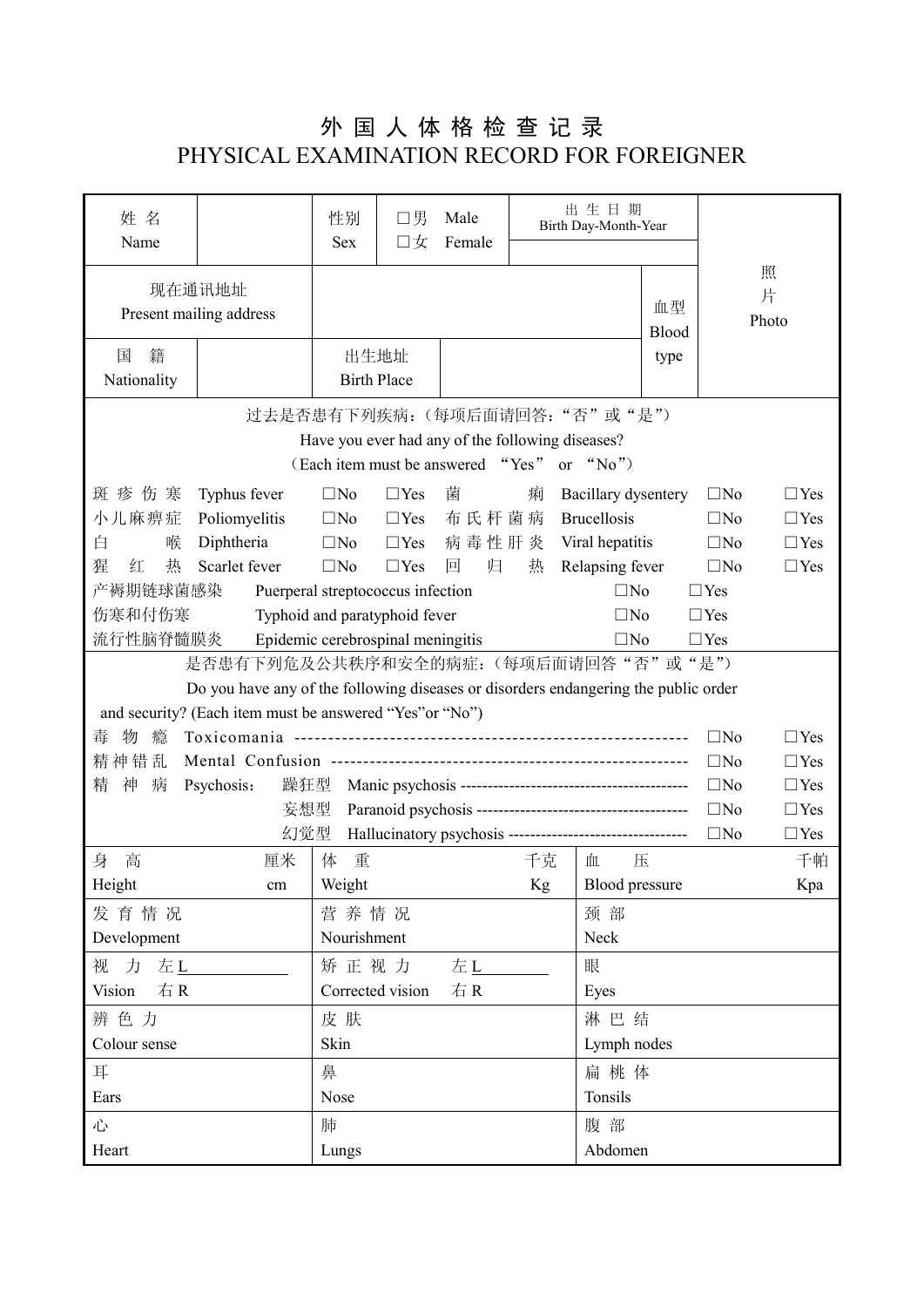## 外 国 人 体 格 检 查 记 录 PHYSICAL EXAMINATION RECORD FOR FOREIGNER

| 姓 名<br>Name                                                                         |                        | 性别<br><b>Sex</b> | 口男<br>口女           | 出生日期<br>Male<br>Birth Day-Month-Year<br>Female |         |                       |              |              |            |
|-------------------------------------------------------------------------------------|------------------------|------------------|--------------------|------------------------------------------------|---------|-----------------------|--------------|--------------|------------|
|                                                                                     |                        |                  |                    |                                                |         |                       |              |              |            |
|                                                                                     | 现在通讯地址                 |                  |                    |                                                |         |                       |              |              | 照          |
| Present mailing address                                                             |                        |                  |                    |                                                |         |                       | 血型           |              | 片<br>Photo |
|                                                                                     |                        |                  |                    |                                                |         |                       | Blood        |              |            |
| 籍<br>国                                                                              |                        |                  | 出生地址               |                                                |         |                       | type         |              |            |
| Nationality                                                                         |                        |                  | <b>Birth Place</b> |                                                |         |                       |              |              |            |
| 过去是否患有下列疾病:(每项后面请回答:"否"或"是")                                                        |                        |                  |                    |                                                |         |                       |              |              |            |
| Have you ever had any of the following diseases?                                    |                        |                  |                    |                                                |         |                       |              |              |            |
| (Each item must be answered "Yes"<br>or " $No$ ")                                   |                        |                  |                    |                                                |         |                       |              |              |            |
| 斑疹伤寒                                                                                | Typhus fever           | $\square$ No     | $\Box$ Yes         | 菌                                              | 痢       | Bacillary dysentery   |              | $\square$ No | $\Box$ Yes |
| 小儿麻痹症                                                                               | Poliomyelitis          | $\Box$ No        | $\Box$ Yes         | 布氏杆菌病                                          |         | <b>Brucellosis</b>    |              | $\square$ No | $\Box$ Yes |
| 白<br>喉                                                                              | Diphtheria             | $\Box$ No        | $\Box$ Yes         | 病毒性肝炎                                          |         | Viral hepatitis       |              | $\square$ No | $\Box$ Yes |
| 猩<br>热<br>红                                                                         | Scarlet fever          | $\square$ No     | $\Box$ Yes         | 回<br>归                                         | 热       | Relapsing fever       |              | $\square$ No | $\Box$ Yes |
| 产褥期链球菌感染<br>Puerperal streptococcus infection<br>$\square$ No                       |                        |                  |                    |                                                |         |                       |              | $\Box$ Yes   |            |
| 伤寒和付伤寒<br>Typhoid and paratyphoid fever<br>$\square$ No                             |                        |                  |                    |                                                |         |                       | $\Box$ Yes   |              |            |
| 流行性脑脊髓膜炎<br>Epidemic cerebrospinal meningitis<br>$\Box$ No<br>$\Box$ Yes            |                        |                  |                    |                                                |         |                       |              |              |            |
| 是否患有下列危及公共秩序和安全的病症: (每项后面请回答"否"或"是")                                                |                        |                  |                    |                                                |         |                       |              |              |            |
| Do you have any of the following diseases or disorders endangering the public order |                        |                  |                    |                                                |         |                       |              |              |            |
| and security? (Each item must be answered "Yes" or "No")                            |                        |                  |                    |                                                |         |                       |              |              |            |
| 物<br>毒<br>瘾                                                                         |                        |                  |                    |                                                |         |                       |              | $\square$ No | $\Box$ Yes |
| 精神错乱                                                                                |                        |                  |                    |                                                |         |                       | $\square$ No | $\Box$ Yes   |            |
| 精<br>神<br>病<br>Psychosis:                                                           | 躁狂型                    |                  |                    |                                                |         |                       | $\Box$ No    | $\Box$ Yes   |            |
|                                                                                     | 妄想型                    |                  |                    |                                                |         |                       | $\square$ No | $\Box$ Yes   |            |
| 幻觉型<br>Hallucinatory psychosis ---------------------------------                    |                        |                  |                    |                                                |         |                       | $\square$ No | $\Box$ Yes   |            |
| 身<br>高                                                                              | 厘米                     | 重<br>体           |                    |                                                | 千克      | 血                     | 压            |              | 千帕         |
| Height                                                                              | cm                     | Weight           |                    |                                                | Kg      | <b>Blood</b> pressure |              |              | Kpa        |
| 发育情况                                                                                | 营养情况                   |                  |                    |                                                | 颈部      |                       |              |              |            |
| Development                                                                         | Nourishment            |                  |                    |                                                | Neck    |                       |              |              |            |
| 视 力 左L                                                                              | 矫正视力<br>左上             |                  |                    |                                                | 眼       |                       |              |              |            |
| Vision<br>右R                                                                        | 右R<br>Corrected vision |                  |                    |                                                | Eyes    |                       |              |              |            |
| 辨色力                                                                                 | 皮肤                     |                  |                    |                                                |         | 淋巴结                   |              |              |            |
| Colour sense                                                                        | Skin                   |                  |                    |                                                |         | Lymph nodes           |              |              |            |
| 耳                                                                                   | 鼻                      |                  |                    |                                                |         | 扁桃体                   |              |              |            |
| Ears                                                                                | Nose                   |                  |                    |                                                | Tonsils |                       |              |              |            |
| 心                                                                                   | 肺                      |                  |                    |                                                | 腹部      |                       |              |              |            |
| Heart                                                                               | Lungs                  |                  |                    |                                                |         | Abdomen               |              |              |            |